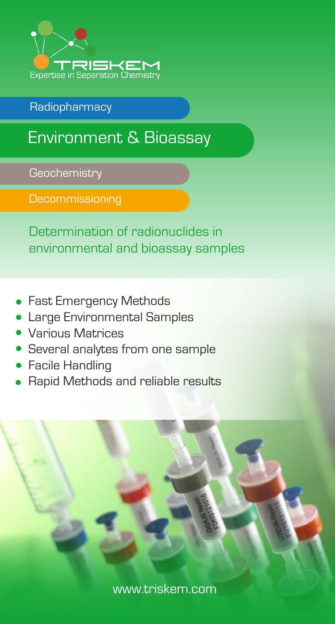

Radiopharmacy

## Environment & Bioassay

**Geochemistry** 

**Decommissioning** 

Determination of radionuclides in environmental and bioassay samples

- Fast Emergency Methods
- Large Environmental Samples
- Various Matrices
- Several analytes from one sample
- Facile Handling
- Rapid Methods and reliable results